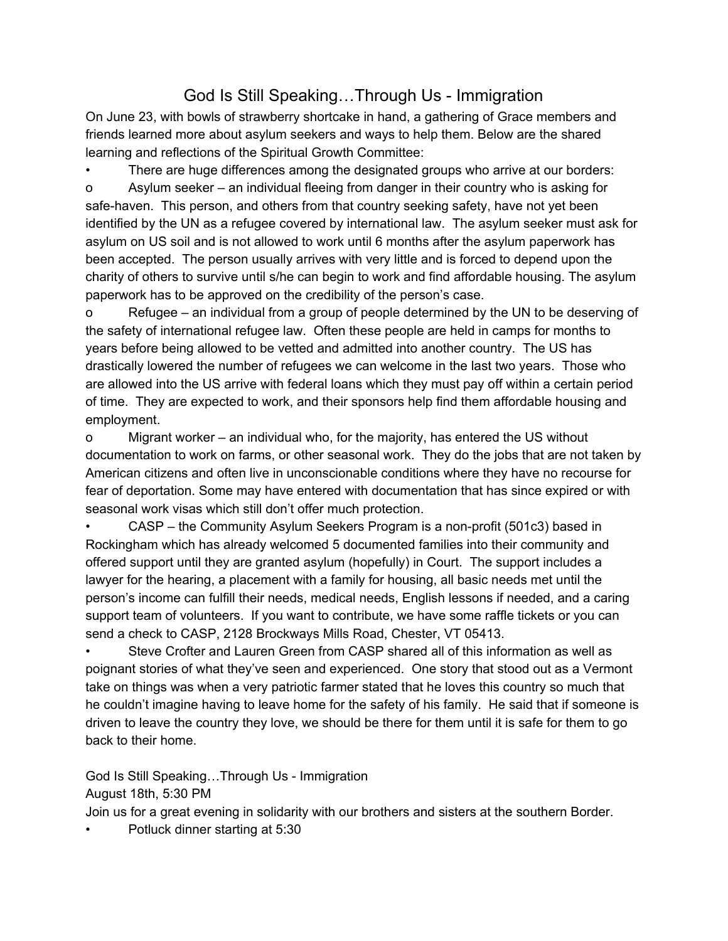## God Is Still Speaking…Through Us - Immigration

On June 23, with bowls of strawberry shortcake in hand, a gathering of Grace members and friends learned more about asylum seekers and ways to help them. Below are the shared learning and reflections of the Spiritual Growth Committee:

There are huge differences among the designated groups who arrive at our borders: o Asylum seeker – an individual fleeing from danger in their country who is asking for safe-haven. This person, and others from that country seeking safety, have not yet been identified by the UN as a refugee covered by international law. The asylum seeker must ask for asylum on US soil and is not allowed to work until 6 months after the asylum paperwork has been accepted. The person usually arrives with very little and is forced to depend upon the charity of others to survive until s/he can begin to work and find affordable housing. The asylum paperwork has to be approved on the credibility of the person's case.

o Refugee – an individual from a group of people determined by the UN to be deserving of the safety of international refugee law. Often these people are held in camps for months to years before being allowed to be vetted and admitted into another country. The US has drastically lowered the number of refugees we can welcome in the last two years. Those who are allowed into the US arrive with federal loans which they must pay off within a certain period of time. They are expected to work, and their sponsors help find them affordable housing and employment.

o Migrant worker – an individual who, for the majority, has entered the US without documentation to work on farms, or other seasonal work. They do the jobs that are not taken by American citizens and often live in unconscionable conditions where they have no recourse for fear of deportation. Some may have entered with documentation that has since expired or with seasonal work visas which still don't offer much protection.

• CASP – the Community Asylum Seekers Program is a non-profit (501c3) based in Rockingham which has already welcomed 5 documented families into their community and offered support until they are granted asylum (hopefully) in Court. The support includes a lawyer for the hearing, a placement with a family for housing, all basic needs met until the person's income can fulfill their needs, medical needs, English lessons if needed, and a caring support team of volunteers. If you want to contribute, we have some raffle tickets or you can send a check to CASP, 2128 Brockways Mills Road, Chester, VT 05413.

• Steve Crofter and Lauren Green from CASP shared all of this information as well as poignant stories of what they've seen and experienced. One story that stood out as a Vermont take on things was when a very patriotic farmer stated that he loves this country so much that he couldn't imagine having to leave home for the safety of his family. He said that if someone is driven to leave the country they love, we should be there for them until it is safe for them to go back to their home.

God Is Still Speaking…Through Us - Immigration August 18th, 5:30 PM

Join us for a great evening in solidarity with our brothers and sisters at the southern Border.

• Potluck dinner starting at 5:30